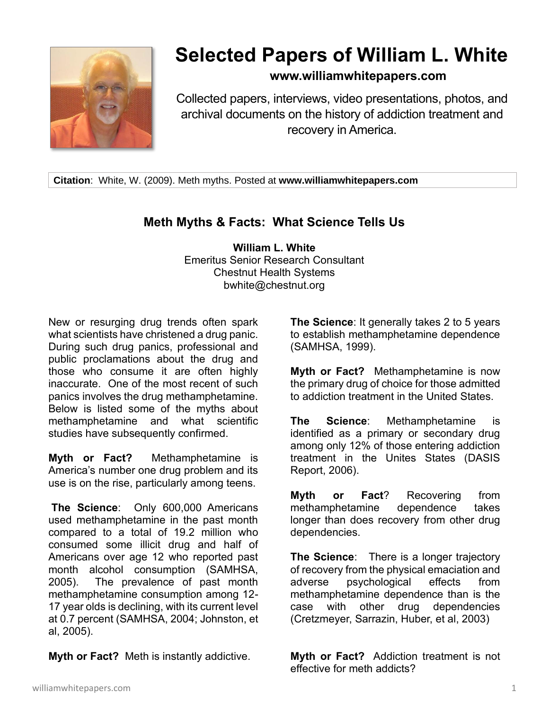

## **Selected Papers of William L. White**

## **www.williamwhitepapers.com**

Collected papers, interviews, video presentations, photos, and archival documents on the history of addiction treatment and recovery in America.

**Citation**: White, W. (2009). Meth myths. Posted at **www.williamwhitepapers.com**

## **Meth Myths & Facts: What Science Tells Us**

**William L. White** Emeritus Senior Research Consultant Chestnut Health Systems bwhite@chestnut.org

New or resurging drug trends often spark what scientists have christened a drug panic. During such drug panics, professional and public proclamations about the drug and those who consume it are often highly inaccurate. One of the most recent of such panics involves the drug methamphetamine. Below is listed some of the myths about methamphetamine and what scientific studies have subsequently confirmed.

**Myth or Fact?** Methamphetamine is America's number one drug problem and its use is on the rise, particularly among teens.

**The Science**: Only 600,000 Americans used methamphetamine in the past month compared to a total of 19.2 million who consumed some illicit drug and half of Americans over age 12 who reported past month alcohol consumption (SAMHSA, 2005). The prevalence of past month methamphetamine consumption among 12- 17 year olds is declining, with its current level at 0.7 percent (SAMHSA, 2004; Johnston, et al, 2005).

**Myth or Fact?** Meth is instantly addictive.

**The Science**: It generally takes 2 to 5 years to establish methamphetamine dependence (SAMHSA, 1999).

**Myth or Fact?** Methamphetamine is now the primary drug of choice for those admitted to addiction treatment in the United States.

**The Science**: Methamphetamine is identified as a primary or secondary drug among only 12% of those entering addiction treatment in the Unites States (DASIS Report, 2006).

**Myth or Fact**? Recovering from methamphetamine dependence takes longer than does recovery from other drug dependencies.

**The Science**: There is a longer trajectory of recovery from the physical emaciation and adverse psychological effects from methamphetamine dependence than is the case with other drug dependencies (Cretzmeyer, Sarrazin, Huber, et al, 2003)

**Myth or Fact?** Addiction treatment is not effective for meth addicts?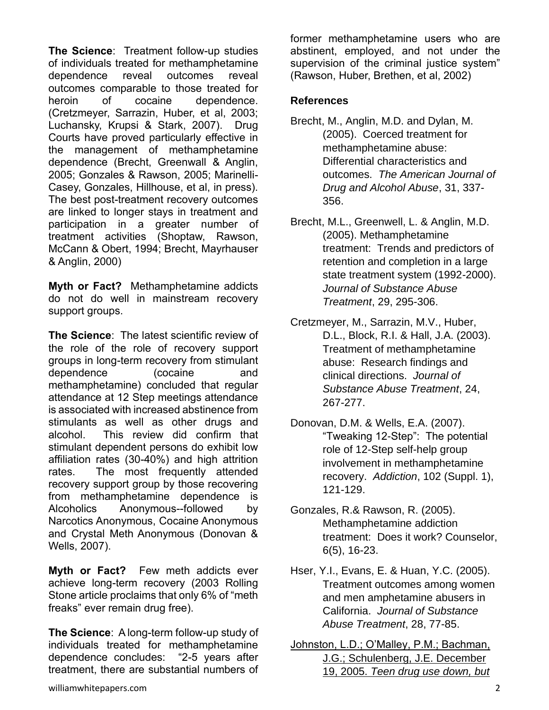**The Science**: Treatment follow-up studies of individuals treated for methamphetamine dependence reveal outcomes reveal outcomes comparable to those treated for heroin of cocaine dependence. (Cretzmeyer, Sarrazin, Huber, et al, 2003; Luchansky, Krupsi & Stark, 2007). Drug Courts have proved particularly effective in the management of methamphetamine dependence (Brecht, Greenwall & Anglin, 2005; Gonzales & Rawson, 2005; Marinelli-Casey, Gonzales, Hillhouse, et al, in press). The best post-treatment recovery outcomes are linked to longer stays in treatment and participation in a greater number of treatment activities (Shoptaw, Rawson, McCann & Obert, 1994; Brecht, Mayrhauser & Anglin, 2000)

**Myth or Fact?** Methamphetamine addicts do not do well in mainstream recovery support groups.

**The Science**: The latest scientific review of the role of the role of recovery support groups in long-term recovery from stimulant dependence (cocaine and methamphetamine) concluded that regular attendance at 12 Step meetings attendance is associated with increased abstinence from stimulants as well as other drugs and alcohol. This review did confirm that stimulant dependent persons do exhibit low affiliation rates (30-40%) and high attrition rates. The most frequently attended recovery support group by those recovering from methamphetamine dependence is Alcoholics Anonymous--followed by Narcotics Anonymous, Cocaine Anonymous and Crystal Meth Anonymous (Donovan & Wells, 2007).

**Myth or Fact?** Few meth addicts ever achieve long-term recovery (2003 Rolling Stone article proclaims that only 6% of "meth freaks" ever remain drug free).

**The Science**: A long-term follow-up study of individuals treated for methamphetamine dependence concludes: "2-5 years after treatment, there are substantial numbers of former methamphetamine users who are abstinent, employed, and not under the supervision of the criminal justice system" (Rawson, Huber, Brethen, et al, 2002)

## **References**

- Brecht, M., Anglin, M.D. and Dylan, M. (2005). Coerced treatment for methamphetamine abuse: Differential characteristics and outcomes. *The American Journal of Drug and Alcohol Abuse*, 31, 337- 356.
- Brecht, M.L., Greenwell, L. & Anglin, M.D. (2005). Methamphetamine treatment: Trends and predictors of retention and completion in a large state treatment system (1992-2000). *Journal of Substance Abuse Treatment*, 29, 295-306.
- Cretzmeyer, M., Sarrazin, M.V., Huber, D.L., Block, R.I. & Hall, J.A. (2003). Treatment of methamphetamine abuse: Research findings and clinical directions. *Journal of Substance Abuse Treatment*, 24, 267-277.
- Donovan, D.M. & Wells, E.A. (2007). "Tweaking 12-Step": The potential role of 12-Step self-help group involvement in methamphetamine recovery. *Addiction*, 102 (Suppl. 1), 121-129.
- Gonzales, R.& Rawson, R. (2005). Methamphetamine addiction treatment: Does it work? Counselor, 6(5), 16-23.
- Hser, Y.I., Evans, E. & Huan, Y.C. (2005). Treatment outcomes among women and men amphetamine abusers in California. *Journal of Substance Abuse Treatment*, 28, 77-85.
- [Johnston, L.D.; O'Malley, P.M.; Bachman,](http://monitoringthefuture.org/pressreleases/05drugpr.pdf)  [J.G.; Schulenberg, J.E. December](http://monitoringthefuture.org/pressreleases/05drugpr.pdf)  19, 2005. *[Teen drug use down, but](http://monitoringthefuture.org/pressreleases/05drugpr.pdf)*